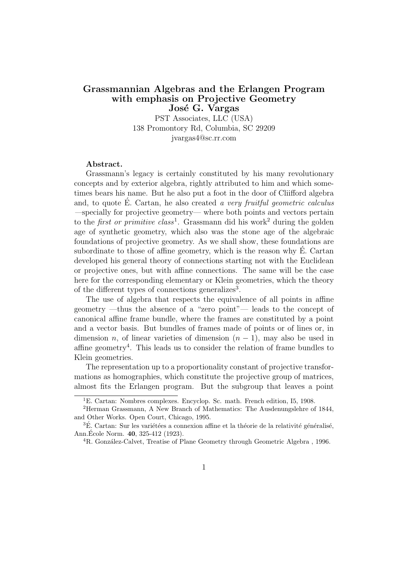### Grassmannian Algebras and the Erlangen Program with emphasis on Projective Geometry José G. Vargas

PST Associates, LLC (USA) 138 Promontory Rd, Columbia, SC 29209 jvargas4@sc.rr.com

#### Abstract.

Grassmann's legacy is certainly constituted by his many revolutionary concepts and by exterior algebra, rightly attributed to him and which sometimes bears his name. But he also put a foot in the door of Cliifford algebra and, to quote  $\acute{E}$ . Cartan, he also created a very fruitful geometric calculus —specially for projective geometry— where both points and vectors pertain to the *first or primitive class*<sup>1</sup>. Grassmann did his work<sup>2</sup> during the golden age of synthetic geometry, which also was the stone age of the algebraic foundations of projective geometry. As we shall show, these foundations are subordinate to those of affine geometry, which is the reason why E. Cartan ´ developed his general theory of connections starting not with the Euclidean or projective ones, but with affine connections. The same will be the case here for the corresponding elementary or Klein geometries, which the theory of the different types of connections generalizes<sup>3</sup>.

The use of algebra that respects the equivalence of all points in affine geometry —thus the absence of a "zero point"— leads to the concept of canonical affine frame bundle, where the frames are constituted by a point and a vector basis. But bundles of frames made of points or of lines or, in dimension *n*, of linear varieties of dimension  $(n - 1)$ , may also be used in affine geometry<sup>4</sup> . This leads us to consider the relation of frame bundles to Klein geometries.

The representation up to a proportionality constant of projective transformations as homographies, which constitute the projective group of matrices, almost fits the Erlangen program. But the subgroup that leaves a point

<sup>&</sup>lt;sup>1</sup>E. Cartan: Nombres complexes. Encyclop. Sc. math. French edition, I5, 1908.

<sup>2</sup>Herman Grassmann, A New Branch of Mathematics: The Ausdenungslehre of 1844, and Other Works. Open Court, Chicago, 1995.

 ${}^{3}\acute{E}$ . Cartan: Sur les variétées a connexion affine et la théorie de la relativité généralisé, Ann. École Norm. **40**, 325-412 (1923).

<sup>&</sup>lt;sup>4</sup>R. González-Calvet, Treatise of Plane Geometry through Geometric Algebra , 1996.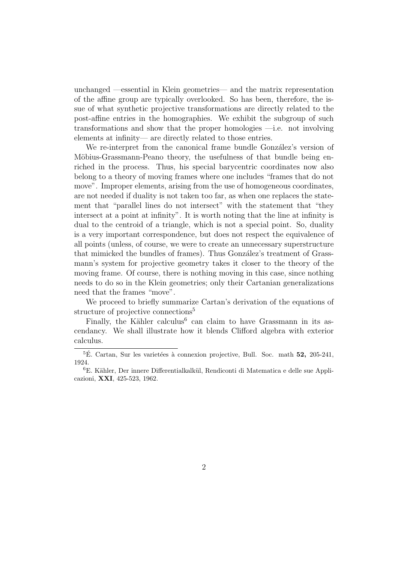unchanged —essential in Klein geometries— and the matrix representation of the affine group are typically overlooked. So has been, therefore, the issue of what synthetic projective transformations are directly related to the post-affine entries in the homographies. We exhibit the subgroup of such transformations and show that the proper homologies —i.e. not involving elements at infinity— are directly related to those entries.

We re-interpret from the canonical frame bundle González's version of Möbius-Grassmann-Peano theory, the usefulness of that bundle being enriched in the process. Thus, his special barycentric coordinates now also belong to a theory of moving frames where one includes "frames that do not move". Improper elements, arising from the use of homogeneous coordinates, are not needed if duality is not taken too far, as when one replaces the statement that "parallel lines do not intersect" with the statement that "they intersect at a point at infinity". It is worth noting that the line at infinity is dual to the centroid of a triangle, which is not a special point. So, duality is a very important correspondence, but does not respect the equivalence of all points (unless, of course, we were to create an unnecessary superstructure that mimicked the bundles of frames). Thus González's treatment of Grassmann's system for projective geometry takes it closer to the theory of the moving frame. Of course, there is nothing moving in this case, since nothing needs to do so in the Klein geometries; only their Cartanian generalizations need that the frames "move".

We proceed to briefly summarize Cartan's derivation of the equations of structure of projective connections<sup>5</sup>

Finally, the Kähler calculus<sup>6</sup> can claim to have Grassmann in its ascendancy. We shall illustrate how it blends Clifford algebra with exterior calculus.

 $5E$ . Cartan, Sur les varietées à connexion projective, Bull. Soc. math 52, 205-241, 1924.

 ${}^{6}E.$  Kähler, Der innere Differentialkalkül, Rendiconti di Matematica e delle sue Applicazioni, XXI, 425-523, 1962.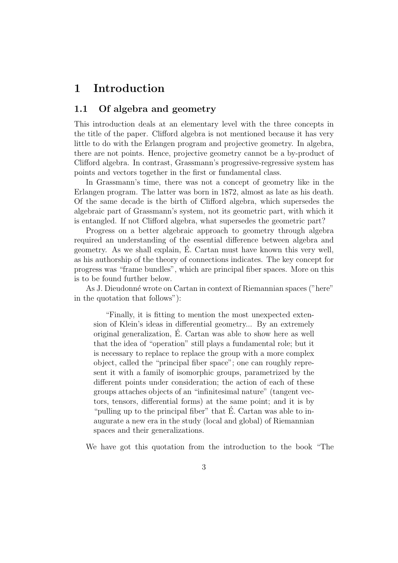# 1 Introduction

## 1.1 Of algebra and geometry

This introduction deals at an elementary level with the three concepts in the title of the paper. Clifford algebra is not mentioned because it has very little to do with the Erlangen program and projective geometry. In algebra, there are not points. Hence, projective geometry cannot be a by-product of Clifford algebra. In contrast, Grassmann's progressive-regressive system has points and vectors together in the first or fundamental class.

In Grassmann's time, there was not a concept of geometry like in the Erlangen program. The latter was born in 1872, almost as late as his death. Of the same decade is the birth of Clifford algebra, which supersedes the algebraic part of Grassmann's system, not its geometric part, with which it is entangled. If not Clifford algebra, what supersedes the geometric part?

Progress on a better algebraic approach to geometry through algebra required an understanding of the essential difference between algebra and geometry. As we shall explain, E. Cartan must have known this very well, ´ as his authorship of the theory of connections indicates. The key concept for progress was "frame bundles", which are principal fiber spaces. More on this is to be found further below.

As J. Dieudonné wrote on Cartan in context of Riemannian spaces ("here" in the quotation that follows"):

"Finally, it is fitting to mention the most unexpected extension of Klein's ideas in differential geometry... By an extremely original generalization, E. Cartan was able to show here as well ´ that the idea of "operation" still plays a fundamental role; but it is necessary to replace to replace the group with a more complex object, called the "principal fiber space"; one can roughly represent it with a family of isomorphic groups, parametrized by the different points under consideration; the action of each of these groups attaches objects of an "infinitesimal nature" (tangent vectors, tensors, differential forms) at the same point; and it is by "pulling up to the principal fiber" that  $\dot{E}$ . Cartan was able to inaugurate a new era in the study (local and global) of Riemannian spaces and their generalizations.

We have got this quotation from the introduction to the book "The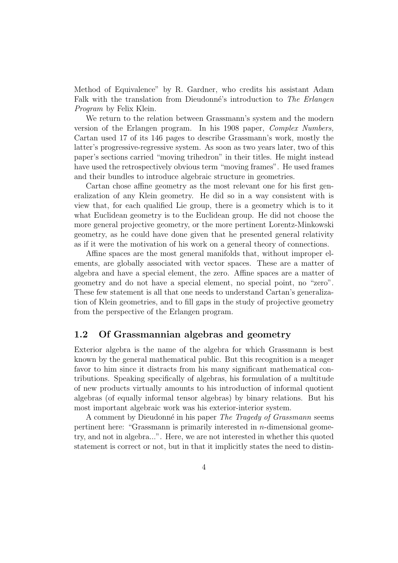Method of Equivalence" by R. Gardner, who credits his assistant Adam Falk with the translation from Dieudonné's introduction to The Erlangen Program by Felix Klein.

We return to the relation between Grassmann's system and the modern version of the Erlangen program. In his 1908 paper, Complex Numbers, Cartan used 17 of its 146 pages to describe Grassmann's work, mostly the latter's progressive-regressive system. As soon as two years later, two of this paper's sections carried "moving trihedron" in their titles. He might instead have used the retrospectively obvious term "moving frames". He used frames and their bundles to introduce algebraic structure in geometries.

Cartan chose affine geometry as the most relevant one for his first generalization of any Klein geometry. He did so in a way consistent with is view that, for each qualified Lie group, there is a geometry which is to it what Euclidean geometry is to the Euclidean group. He did not choose the more general projective geometry, or the more pertinent Lorentz-Minkowski geometry, as he could have done given that he presented general relativity as if it were the motivation of his work on a general theory of connections.

Affine spaces are the most general manifolds that, without improper elements, are globally associated with vector spaces. These are a matter of algebra and have a special element, the zero. Affine spaces are a matter of geometry and do not have a special element, no special point, no "zero". These few statement is all that one needs to understand Cartan's generalization of Klein geometries, and to fill gaps in the study of projective geometry from the perspective of the Erlangen program.

#### 1.2 Of Grassmannian algebras and geometry

Exterior algebra is the name of the algebra for which Grassmann is best known by the general mathematical public. But this recognition is a meager favor to him since it distracts from his many significant mathematical contributions. Speaking specifically of algebras, his formulation of a multitude of new products virtually amounts to his introduction of informal quotient algebras (of equally informal tensor algebras) by binary relations. But his most important algebraic work was his exterior-interior system.

A comment by Dieudonné in his paper *The Tragedy of Grassmann* seems pertinent here: "Grassmann is primarily interested in n-dimensional geometry, and not in algebra...". Here, we are not interested in whether this quoted statement is correct or not, but in that it implicitly states the need to distin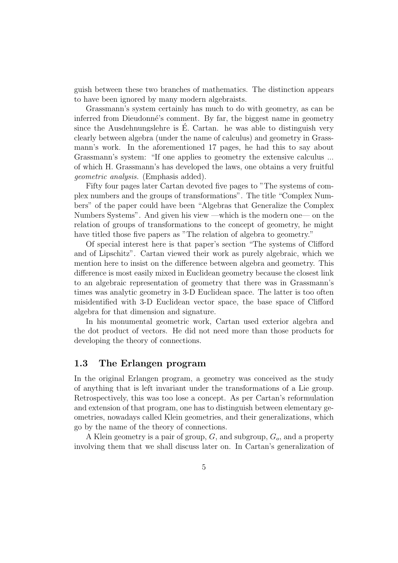guish between these two branches of mathematics. The distinction appears to have been ignored by many modern algebraists.

Grassmann's system certainly has much to do with geometry, as can be inferred from Dieudonné's comment. By far, the biggest name in geometry since the Ausdehnungslehre is  $\hat{E}$ . Cartan. he was able to distinguish very clearly between algebra (under the name of calculus) and geometry in Grassmann's work. In the aforementioned 17 pages, he had this to say about Grassmann's system: "If one applies to geometry the extensive calculus ... of which H. Grassmann's has developed the laws, one obtains a very fruitful geometric analysis. (Emphasis added).

Fifty four pages later Cartan devoted five pages to "The systems of complex numbers and the groups of transformations". The title "Complex Numbers" of the paper could have been "Algebras that Generalize the Complex Numbers Systems". And given his view —which is the modern one— on the relation of groups of transformations to the concept of geometry, he might have titled those five papers as "The relation of algebra to geometry."

Of special interest here is that paper's section "The systems of Clifford and of Lipschitz". Cartan viewed their work as purely algebraic, which we mention here to insist on the difference between algebra and geometry. This difference is most easily mixed in Euclidean geometry because the closest link to an algebraic representation of geometry that there was in Grassmann's times was analytic geometry in 3-D Euclidean space. The latter is too often misidentified with 3-D Euclidean vector space, the base space of Clifford algebra for that dimension and signature.

In his monumental geometric work, Cartan used exterior algebra and the dot product of vectors. He did not need more than those products for developing the theory of connections.

#### 1.3 The Erlangen program

In the original Erlangen program, a geometry was conceived as the study of anything that is left invariant under the transformations of a Lie group. Retrospectively, this was too lose a concept. As per Cartan's reformulation and extension of that program, one has to distinguish between elementary geometries, nowadays called Klein geometries, and their generalizations, which go by the name of the theory of connections.

A Klein geometry is a pair of group,  $G$ , and subgroup,  $G<sub>o</sub>$ , and a property involving them that we shall discuss later on. In Cartan's generalization of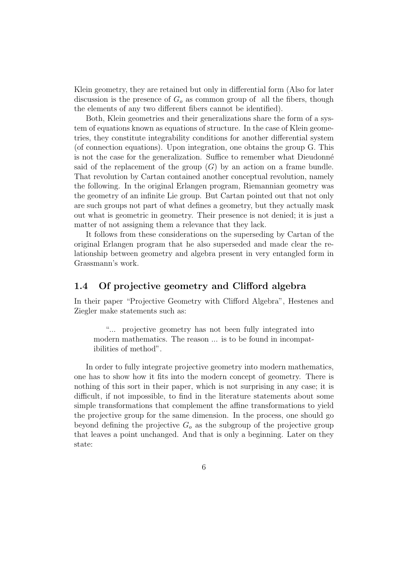Klein geometry, they are retained but only in differential form (Also for later discussion is the presence of  $G<sub>o</sub>$  as common group of all the fibers, though the elements of any two different fibers cannot be identified).

Both, Klein geometries and their generalizations share the form of a system of equations known as equations of structure. In the case of Klein geometries, they constitute integrability conditions for another differential system (of connection equations). Upon integration, one obtains the group G. This is not the case for the generalization. Suffice to remember what Dieudonné said of the replacement of the group  $(G)$  by an action on a frame bundle. That revolution by Cartan contained another conceptual revolution, namely the following. In the original Erlangen program, Riemannian geometry was the geometry of an infinite Lie group. But Cartan pointed out that not only are such groups not part of what defines a geometry, but they actually mask out what is geometric in geometry. Their presence is not denied; it is just a matter of not assigning them a relevance that they lack.

It follows from these considerations on the superseding by Cartan of the original Erlangen program that he also superseded and made clear the relationship between geometry and algebra present in very entangled form in Grassmann's work.

# 1.4 Of projective geometry and Clifford algebra

In their paper "Projective Geometry with Clifford Algebra", Hestenes and Ziegler make statements such as:

"... projective geometry has not been fully integrated into modern mathematics. The reason ... is to be found in incompatibilities of method".

In order to fully integrate projective geometry into modern mathematics, one has to show how it fits into the modern concept of geometry. There is nothing of this sort in their paper, which is not surprising in any case; it is difficult, if not impossible, to find in the literature statements about some simple transformations that complement the affine transformations to yield the projective group for the same dimension. In the process, one should go beyond defining the projective  $G<sub>o</sub>$  as the subgroup of the projective group that leaves a point unchanged. And that is only a beginning. Later on they state: